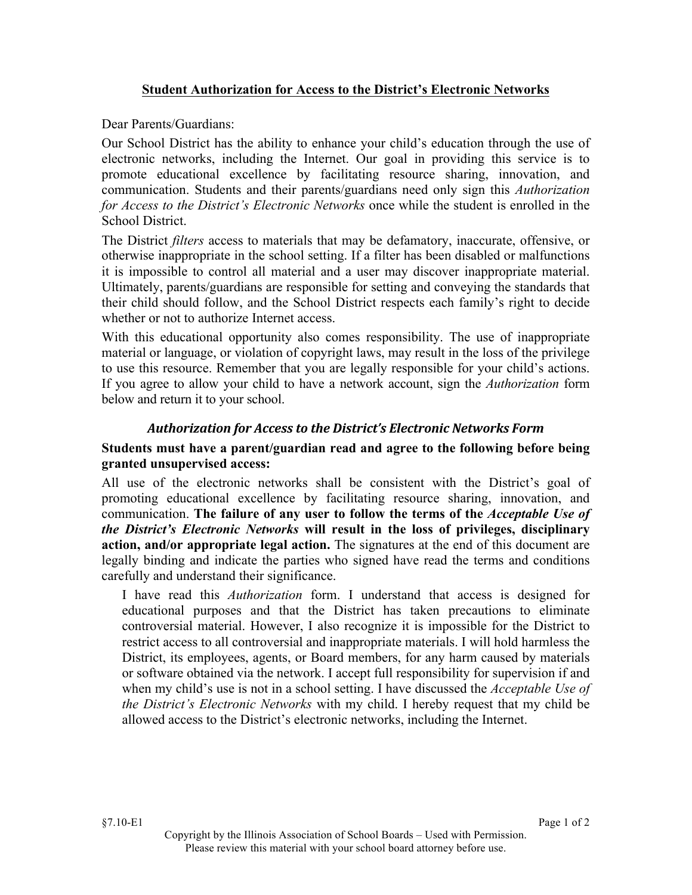## **Student Authorization for Access to the District's Electronic Networks**

Dear Parents/Guardians:

Our School District has the ability to enhance your child's education through the use of electronic networks, including the Internet. Our goal in providing this service is to promote educational excellence by facilitating resource sharing, innovation, and communication. Students and their parents/guardians need only sign this *Authorization for Access to the District's Electronic Networks* once while the student is enrolled in the School District.

The District *filters* access to materials that may be defamatory, inaccurate, offensive, or otherwise inappropriate in the school setting. If a filter has been disabled or malfunctions it is impossible to control all material and a user may discover inappropriate material. Ultimately, parents/guardians are responsible for setting and conveying the standards that their child should follow, and the School District respects each family's right to decide whether or not to authorize Internet access.

With this educational opportunity also comes responsibility. The use of inappropriate material or language, or violation of copyright laws, may result in the loss of the privilege to use this resource. Remember that you are legally responsible for your child's actions. If you agree to allow your child to have a network account, sign the *Authorization* form below and return it to your school.

## *Authorization for Access to the District's Electronic Networks Form*

## **Students must have a parent/guardian read and agree to the following before being granted unsupervised access:**

All use of the electronic networks shall be consistent with the District's goal of promoting educational excellence by facilitating resource sharing, innovation, and communication. **The failure of any user to follow the terms of the** *Acceptable Use of the District's Electronic Networks* **will result in the loss of privileges, disciplinary action, and/or appropriate legal action.** The signatures at the end of this document are legally binding and indicate the parties who signed have read the terms and conditions carefully and understand their significance.

I have read this *Authorization* form. I understand that access is designed for educational purposes and that the District has taken precautions to eliminate controversial material. However, I also recognize it is impossible for the District to restrict access to all controversial and inappropriate materials. I will hold harmless the District, its employees, agents, or Board members, for any harm caused by materials or software obtained via the network. I accept full responsibility for supervision if and when my child's use is not in a school setting. I have discussed the *Acceptable Use of the District's Electronic Networks* with my child. I hereby request that my child be allowed access to the District's electronic networks, including the Internet.